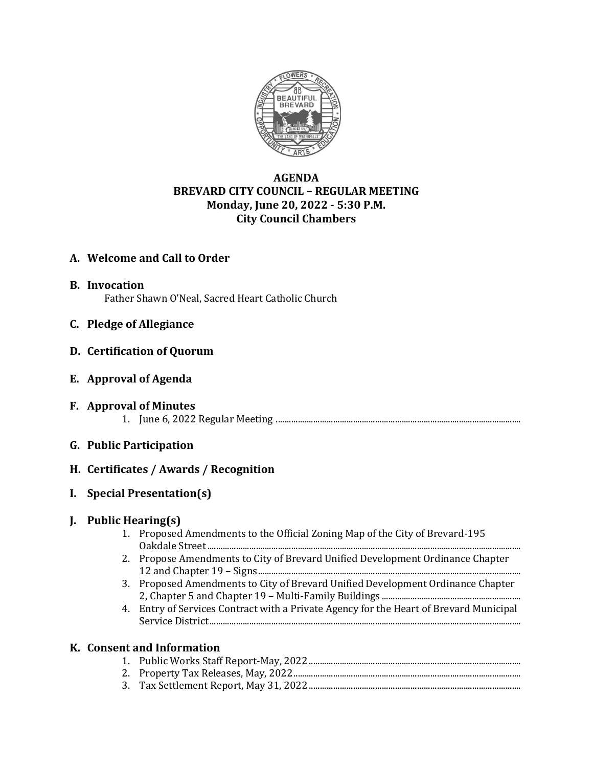

# **AGENDA BREVARD CITY COUNCIL – REGULAR MEETING Monday, June 20, 2022 - 5:30 P.M. City Council Chambers**

### **A. Welcome and Call to Order**

- **B. Invocation** Father Shawn O'Neal, Sacred Heart Catholic Church
- **C. Pledge of Allegiance**
- **D. Certification of Quorum**
- **E. Approval of Agenda**
- **F. Approval of Minutes** 1. June 6, 2022 Regular Meeting ...............................................................................................................
- **G. Public Participation**

# **H. Certificates / Awards / Recognition**

**I. Special Presentation(s)**

# **J. Public Hearing(s)**

- 1. Proposed Amendments to the Official Zoning Map of the City of Brevard-195 Oakdale Street..............................................................................................................................................
- 2. Propose Amendments to City of Brevard Unified Development Ordinance Chapter 12 and Chapter 19 – Signs.......................................................................................................................
- 3. Proposed Amendments to City of Brevard Unified Development Ordinance Chapter 2, Chapter 5 and Chapter 19 – Multi-Family Buildings ...............................................................
- 4. Entry of Services Contract with a Private Agency for the Heart of Brevard Municipal Service District.............................................................................................................................................

# **K. Consent and Information**